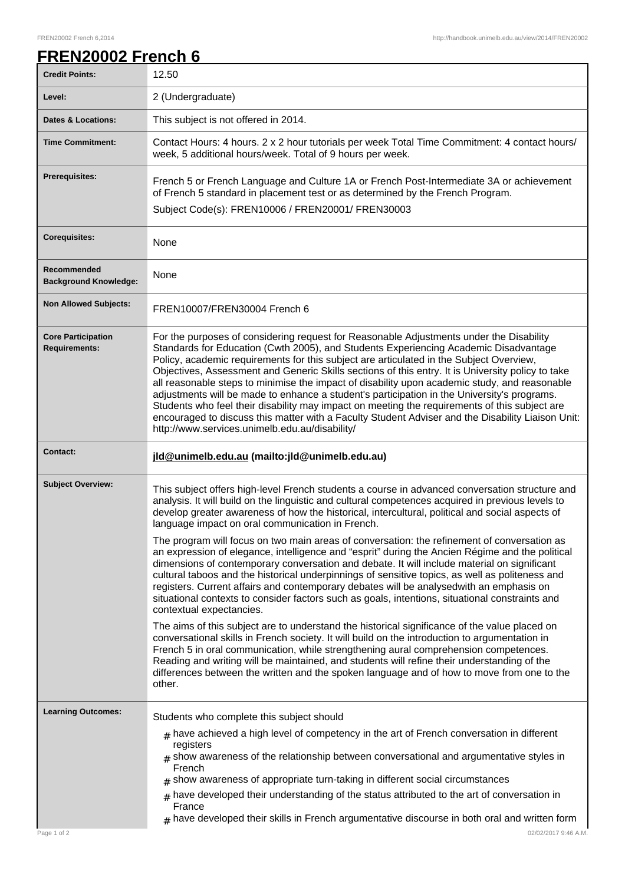## **FREN20002 French 6**

| <b>Credit Points:</b>                             | 12.50                                                                                                                                                                                                                                                                                                                                                                                                                                                                                                                                                                                                                                                                                                                                                                                                                                   |
|---------------------------------------------------|-----------------------------------------------------------------------------------------------------------------------------------------------------------------------------------------------------------------------------------------------------------------------------------------------------------------------------------------------------------------------------------------------------------------------------------------------------------------------------------------------------------------------------------------------------------------------------------------------------------------------------------------------------------------------------------------------------------------------------------------------------------------------------------------------------------------------------------------|
| Level:                                            | 2 (Undergraduate)                                                                                                                                                                                                                                                                                                                                                                                                                                                                                                                                                                                                                                                                                                                                                                                                                       |
| <b>Dates &amp; Locations:</b>                     | This subject is not offered in 2014.                                                                                                                                                                                                                                                                                                                                                                                                                                                                                                                                                                                                                                                                                                                                                                                                    |
| <b>Time Commitment:</b>                           | Contact Hours: 4 hours. 2 x 2 hour tutorials per week Total Time Commitment: 4 contact hours/<br>week, 5 additional hours/week. Total of 9 hours per week.                                                                                                                                                                                                                                                                                                                                                                                                                                                                                                                                                                                                                                                                              |
| Prerequisites:                                    | French 5 or French Language and Culture 1A or French Post-Intermediate 3A or achievement<br>of French 5 standard in placement test or as determined by the French Program.                                                                                                                                                                                                                                                                                                                                                                                                                                                                                                                                                                                                                                                              |
|                                                   | Subject Code(s): FREN10006 / FREN20001/ FREN30003                                                                                                                                                                                                                                                                                                                                                                                                                                                                                                                                                                                                                                                                                                                                                                                       |
| <b>Corequisites:</b>                              | None                                                                                                                                                                                                                                                                                                                                                                                                                                                                                                                                                                                                                                                                                                                                                                                                                                    |
| Recommended<br><b>Background Knowledge:</b>       | None                                                                                                                                                                                                                                                                                                                                                                                                                                                                                                                                                                                                                                                                                                                                                                                                                                    |
| <b>Non Allowed Subjects:</b>                      | FREN10007/FREN30004 French 6                                                                                                                                                                                                                                                                                                                                                                                                                                                                                                                                                                                                                                                                                                                                                                                                            |
| <b>Core Participation</b><br><b>Requirements:</b> | For the purposes of considering request for Reasonable Adjustments under the Disability<br>Standards for Education (Cwth 2005), and Students Experiencing Academic Disadvantage<br>Policy, academic requirements for this subject are articulated in the Subject Overview,<br>Objectives, Assessment and Generic Skills sections of this entry. It is University policy to take<br>all reasonable steps to minimise the impact of disability upon academic study, and reasonable<br>adjustments will be made to enhance a student's participation in the University's programs.<br>Students who feel their disability may impact on meeting the requirements of this subject are<br>encouraged to discuss this matter with a Faculty Student Adviser and the Disability Liaison Unit:<br>http://www.services.unimelb.edu.au/disability/ |
| <b>Contact:</b>                                   | jld@unimelb.edu.au (mailto: jld@unimelb.edu.au)                                                                                                                                                                                                                                                                                                                                                                                                                                                                                                                                                                                                                                                                                                                                                                                         |
| <b>Subject Overview:</b>                          | This subject offers high-level French students a course in advanced conversation structure and<br>analysis. It will build on the linguistic and cultural competences acquired in previous levels to<br>develop greater awareness of how the historical, intercultural, political and social aspects of<br>language impact on oral communication in French.                                                                                                                                                                                                                                                                                                                                                                                                                                                                              |
|                                                   | The program will focus on two main areas of conversation: the refinement of conversation as<br>an expression of elegance, intelligence and "esprit" during the Ancien Régime and the political<br>dimensions of contemporary conversation and debate. It will include material on significant<br>cultural taboos and the historical underpinnings of sensitive topics, as well as politeness and<br>registers. Current affairs and contemporary debates will be analysedwith an emphasis on<br>situational contexts to consider factors such as goals, intentions, situational constraints and<br>contextual expectancies.                                                                                                                                                                                                              |
|                                                   | The aims of this subject are to understand the historical significance of the value placed on<br>conversational skills in French society. It will build on the introduction to argumentation in<br>French 5 in oral communication, while strengthening aural comprehension competences.<br>Reading and writing will be maintained, and students will refine their understanding of the<br>differences between the written and the spoken language and of how to move from one to the<br>other.                                                                                                                                                                                                                                                                                                                                          |
| <b>Learning Outcomes:</b>                         | Students who complete this subject should                                                                                                                                                                                                                                                                                                                                                                                                                                                                                                                                                                                                                                                                                                                                                                                               |
|                                                   | $_{\text{\#}}$ have achieved a high level of competency in the art of French conversation in different<br>registers<br>$#$ show awareness of the relationship between conversational and argumentative styles in<br>French<br>$#$ show awareness of appropriate turn-taking in different social circumstances<br>$#$ have developed their understanding of the status attributed to the art of conversation in                                                                                                                                                                                                                                                                                                                                                                                                                          |
| Page 1 of 2                                       | France<br>$_{\rm #}$ have developed their skills in French argumentative discourse in both oral and written form<br>02/02/2017 9:46 A.M.                                                                                                                                                                                                                                                                                                                                                                                                                                                                                                                                                                                                                                                                                                |